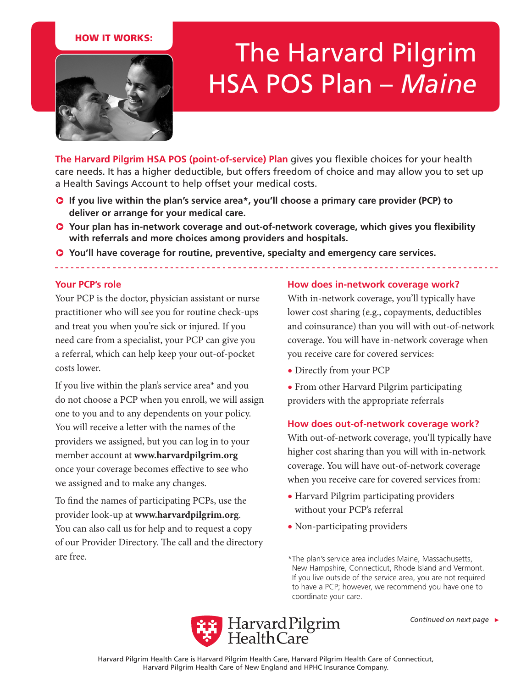## HOW IT WORKS:



# The Harvard Pilgrim HSA POS Plan – *Maine*

**The Harvard Pilgrim HSA POS (point-of-service) Plan** gives you flexible choices for your health care needs. It has a higher deductible, but offers freedom of choice and may allow you to set up a Health Savings Account to help offset your medical costs.

- **C** If you live within the plan's service area\*, you'll choose a primary care provider (PCP) to **deliver or arrange for your medical care.**
- **Q** Your plan has in-network coverage and out-of-network coverage, which gives you flexibility **with referrals and more choices among providers and hospitals.**
- $\bullet$  You'll have coverage for routine, preventive, specialty and emergency care services.

#### **Your PCP's role**

Your PCP is the doctor, physician assistant or nurse practitioner who will see you for routine check-ups and treat you when you're sick or injured. If you need care from a specialist, your PCP can give you a referral, which can help keep your out-of-pocket costs lower.

If you live within the plan's service area\* and you do not choose a PCP when you enroll, we will assign one to you and to any dependents on your policy. You will receive a letter with the names of the providers we assigned, but you can log in to your member account at **www.harvardpilgrim.org** once your coverage becomes effective to see who we assigned and to make any changes.

To find the names of participating PCPs, use the provider look-up at **www.harvardpilgrim.org**. You can also call us for help and to request a copy of our Provider Directory. The call and the directory are free.

#### **How does in-network coverage work?**

With in-network coverage, you'll typically have lower cost sharing (e.g., copayments, deductibles and coinsurance) than you will with out-of-network coverage. You will have in-network coverage when you receive care for covered services:

- Directly from your PCP
- From other Harvard Pilgrim participating providers with the appropriate referrals

#### **How does out-of-network coverage work?**

With out-of-network coverage, you'll typically have higher cost sharing than you will with in-network coverage. You will have out-of-network coverage when you receive care for covered services from:

- Harvard Pilgrim participating providers without your PCP's referral
- Non-participating providers

\*The plan's service area includes Maine, Massachusetts, New Hampshire, Connecticut, Rhode Island and Vermont. If you live outside of the service area, you are not required to have a PCP; however, we recommend you have one to coordinate your care.

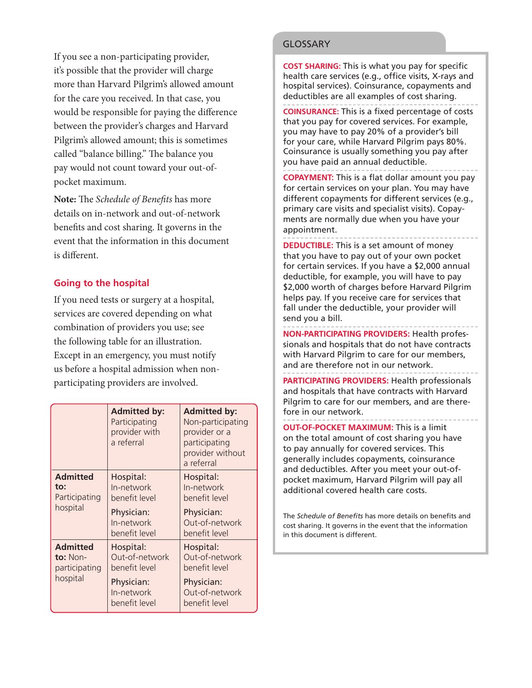If you see a non-participating provider, it's possible that the provider will charge more than Harvard Pilgrim's allowed amount for the care you received. In that case, you would be responsible for paying the difference between the provider's charges and Harvard Pilgrim's allowed amount; this is sometimes called "balance billing." The balance you pay would not count toward your out-ofpocket maximum.

**Note:** The *Schedule of Benefits* has more details on in-network and out-of-network benefits and cost sharing. It governs in the event that the information in this document is different.

## **Going to the hospital**

If you need tests or surgery at a hospital, services are covered depending on what combination of providers you use; see the following table for an illustration. Except in an emergency, you must notify us before a hospital admission when nonparticipating providers are involved.

|                                                            | <b>Admitted by:</b><br>Participating<br>provider with<br>a referral                       | <b>Admitted by:</b><br>Non-participating<br>provider or a<br>participating<br>provider without<br>a referral |
|------------------------------------------------------------|-------------------------------------------------------------------------------------------|--------------------------------------------------------------------------------------------------------------|
| <b>Admitted</b><br>to:<br>Participating<br>hospital        | Hospital:<br>In-network<br>benefit level<br>Physician:<br>In-network<br>benefit level     | Hospital:<br>In-network<br>benefit level<br>Physician:<br>Out-of-network<br>benefit level                    |
| <b>Admitted</b><br>to: $Non-$<br>participating<br>hospital | Hospital:<br>Out-of-network<br>benefit level<br>Physician:<br>In-network<br>benefit level | Hospital:<br>Out-of-network<br>benefit level<br>Physician:<br>Out-of-network<br>benefit level                |

#### **GLOSSARY**

**COST SHARING:** This is what you pay for specific health care services (e.g., office visits, X-rays and hospital services). Coinsurance, copayments and deductibles are all examples of cost sharing.

**COINSURANCE:** This is a fixed percentage of costs that you pay for covered services. For example, you may have to pay 20% of a provider's bill for your care, while Harvard Pilgrim pays 80%. Coinsurance is usually something you pay after you have paid an annual deductible.

**COPAYMENT:** This is a flat dollar amount you pay for certain services on your plan. You may have different copayments for different services (e.g., primary care visits and specialist visits). Copayments are normally due when you have your appointment.

**DEDUCTIBLE:** This is a set amount of money that you have to pay out of your own pocket for certain services. If you have a \$2,000 annual deductible, for example, you will have to pay \$2,000 worth of charges before Harvard Pilgrim helps pay. If you receive care for services that fall under the deductible, your provider will send you a bill.

**NON-PARTICIPATING PROVIDERS:** Health professionals and hospitals that do not have contracts with Harvard Pilgrim to care for our members, and are therefore not in our network.

**PARTICIPATING PROVIDERS:** Health professionals and hospitals that have contracts with Harvard Pilgrim to care for our members, and are therefore in our network.

**OUT-OF-POCKET MAXIMUM:** This is a limit on the total amount of cost sharing you have to pay annually for covered services. This generally includes copayments, coinsurance and deductibles. After you meet your out-ofpocket maximum, Harvard Pilgrim will pay all additional covered health care costs.

The *Schedule of Benefits* has more details on benefits and cost sharing. It governs in the event that the information in this document is different.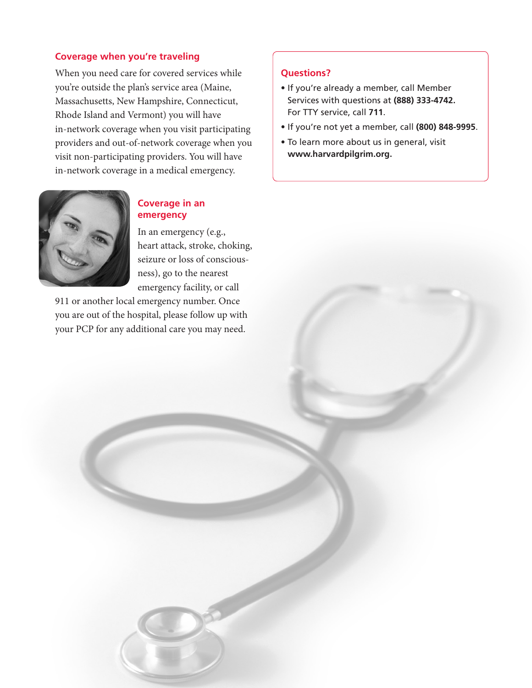#### **Coverage when you're traveling**

When you need care for covered services while you're outside the plan's service area (Maine, Massachusetts, New Hampshire, Connecticut, Rhode Island and Vermont) you will have in-network coverage when you visit participating providers and out-of-network coverage when you visit non-participating providers. You will have in-network coverage in a medical emergency.



# **Coverage in an emergency**

In an emergency (e.g., heart attack, stroke, choking, seizure or loss of consciousness), go to the nearest emergency facility, or call

911 or another local emergency number. Once you are out of the hospital, please follow up with your PCP for any additional care you may need.

#### **Questions?**

- If you're already a member, call Member Services with questions at **(888) 333-4742.**  For TTY service, call **711**.
- If you're not yet a member, call **(800) 848-9995**.
- To learn more about us in general, visit **www.harvardpilgrim.org.**